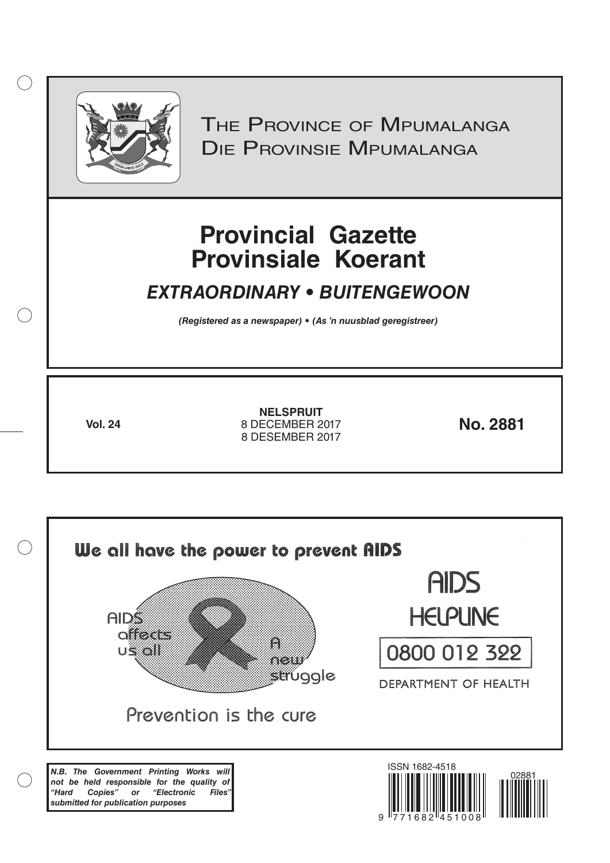

 $( )$ 

THE PROVINCE OF MPUMALANGA Die Provinsie Mpumalanga

# **Provincial Gazette Provinsiale Koerant**

# *EXTRAORDINARY • BUITENGEWOON*

*(Registered as a newspaper) • (As 'n nuusblad geregistreer)*

**Vol. 24 No. 2881** 8 DECEMBER 2017 **NELSPRUIT** 8 DESEMBER 2017

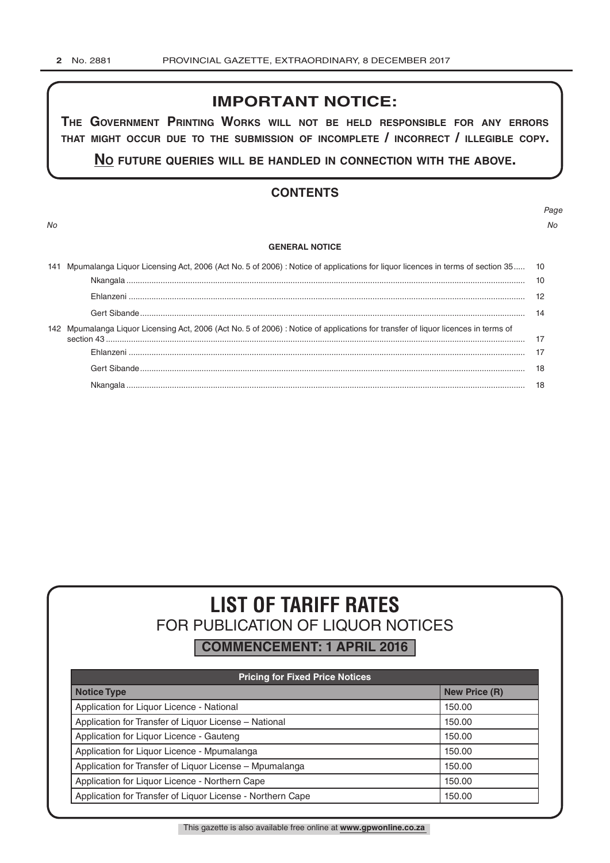# **IMPORTANT NOTICE:**

**The GovernmenT PrinTinG Works Will noT be held resPonsible for any errors ThaT miGhT occur due To The submission of incomPleTe / incorrecT / illeGible coPy.**

**no fuTure queries Will be handled in connecTion WiTh The above.**

# **CONTENTS**

*No No*

#### **GENERAL NOTICE**

| 141 Mpumalanga Liquor Licensing Act, 2006 (Act No. 5 of 2006) : Notice of applications for liquor licences in terms of section 35 10 |  |
|--------------------------------------------------------------------------------------------------------------------------------------|--|
|                                                                                                                                      |  |
|                                                                                                                                      |  |
|                                                                                                                                      |  |
| 142 Mpumalanga Liquor Licensing Act, 2006 (Act No. 5 of 2006) : Notice of applications for transfer of liquor licences in terms of   |  |
|                                                                                                                                      |  |
|                                                                                                                                      |  |
|                                                                                                                                      |  |
|                                                                                                                                      |  |

# **LIST OF TARIFF RATES** FOR PUBLICATION OF LIQUOR NOTICES

**COMMENCEMENT: 1 APRIL 2016**

| <b>Pricing for Fixed Price Notices</b>                     |                      |  |  |  |
|------------------------------------------------------------|----------------------|--|--|--|
| <b>Notice Type</b>                                         | <b>New Price (R)</b> |  |  |  |
| Application for Liquor Licence - National                  | 150.00               |  |  |  |
| Application for Transfer of Liquor License - National      | 150.00               |  |  |  |
| Application for Liquor Licence - Gauteng                   | 150.00               |  |  |  |
| Application for Liquor Licence - Mpumalanga                | 150.00               |  |  |  |
| Application for Transfer of Liquor License - Mpumalanga    | 150.00               |  |  |  |
| Application for Liquor Licence - Northern Cape             | 150.00               |  |  |  |
| Application for Transfer of Liquor License - Northern Cape | 150.00               |  |  |  |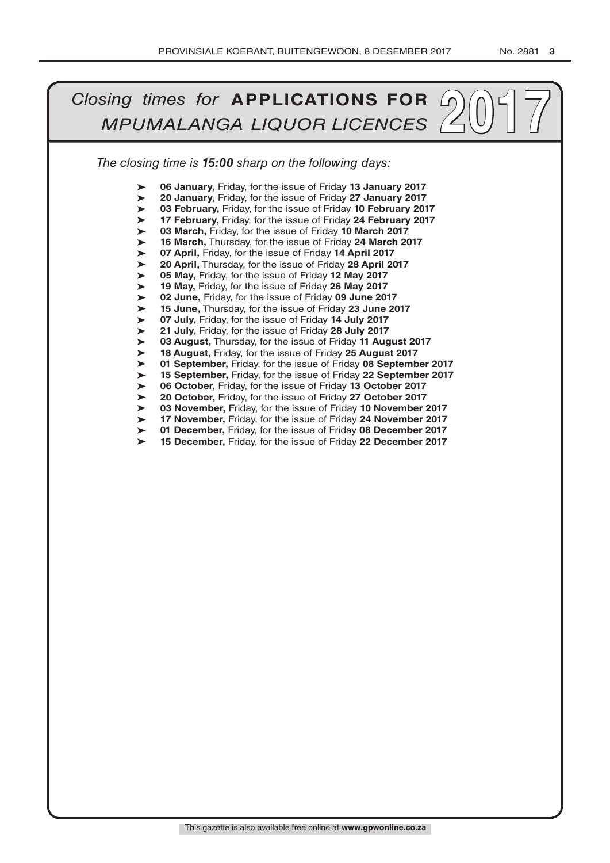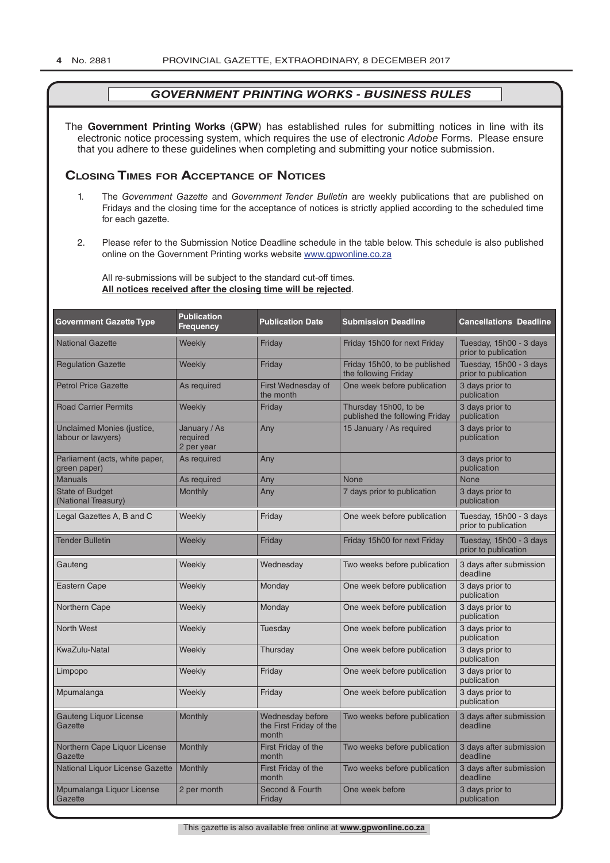The **Government Printing Works** (**GPW**) has established rules for submitting notices in line with its electronic notice processing system, which requires the use of electronic *Adobe* Forms. Please ensure that you adhere to these guidelines when completing and submitting your notice submission.

# **Closing Times for ACCepTAnCe of noTiCes**

- 1. The *Government Gazette* and *Government Tender Bulletin* are weekly publications that are published on Fridays and the closing time for the acceptance of notices is strictly applied according to the scheduled time for each gazette.
- 2. Please refer to the Submission Notice Deadline schedule in the table below. This schedule is also published online on the Government Printing works website www.gpwonline.co.za

All re-submissions will be subject to the standard cut-off times. **All notices received after the closing time will be rejected**.

| <b>Government Gazette Type</b>                   | <b>Publication</b><br><b>Frequency</b> | <b>Publication Date</b>                              | <b>Submission Deadline</b>                              | <b>Cancellations Deadline</b>                   |
|--------------------------------------------------|----------------------------------------|------------------------------------------------------|---------------------------------------------------------|-------------------------------------------------|
| <b>National Gazette</b>                          | Weekly                                 | Friday                                               | Friday 15h00 for next Friday                            | Tuesday, 15h00 - 3 days<br>prior to publication |
| <b>Regulation Gazette</b>                        | Weekly                                 | Friday                                               | Friday 15h00, to be published<br>the following Friday   | Tuesday, 15h00 - 3 days<br>prior to publication |
| <b>Petrol Price Gazette</b>                      | As required                            | First Wednesday of<br>the month                      | One week before publication                             | 3 days prior to<br>publication                  |
| <b>Road Carrier Permits</b>                      | Weekly                                 | Friday                                               | Thursday 15h00, to be<br>published the following Friday | 3 days prior to<br>publication                  |
| Unclaimed Monies (justice,<br>labour or lawyers) | January / As<br>required<br>2 per year | Any                                                  | 15 January / As required                                | 3 days prior to<br>publication                  |
| Parliament (acts, white paper,<br>green paper)   | As required                            | Any                                                  |                                                         | 3 days prior to<br>publication                  |
| <b>Manuals</b>                                   | As required                            | Any                                                  | <b>None</b>                                             | <b>None</b>                                     |
| <b>State of Budget</b><br>(National Treasury)    | <b>Monthly</b>                         | Any                                                  | 7 days prior to publication                             | 3 days prior to<br>publication                  |
| Legal Gazettes A, B and C                        | Weekly                                 | Friday                                               | One week before publication                             | Tuesday, 15h00 - 3 days<br>prior to publication |
| <b>Tender Bulletin</b>                           | Weekly                                 | Friday                                               | Friday 15h00 for next Friday                            | Tuesday, 15h00 - 3 days<br>prior to publication |
| Gauteng                                          | Weekly                                 | Wednesday                                            | Two weeks before publication                            | 3 days after submission<br>deadline             |
| <b>Eastern Cape</b>                              | Weekly                                 | Monday                                               | One week before publication                             | 3 days prior to<br>publication                  |
| Northern Cape                                    | Weekly                                 | Monday                                               | One week before publication                             | 3 days prior to<br>publication                  |
| <b>North West</b>                                | Weekly                                 | Tuesday                                              | One week before publication                             | 3 days prior to<br>publication                  |
| KwaZulu-Natal                                    | Weekly                                 | Thursday                                             | One week before publication                             | 3 days prior to<br>publication                  |
| Limpopo                                          | Weekly                                 | Friday                                               | One week before publication                             | 3 days prior to<br>publication                  |
| Mpumalanga                                       | Weekly                                 | Friday                                               | One week before publication                             | 3 days prior to<br>publication                  |
| <b>Gauteng Liquor License</b><br>Gazette         | Monthly                                | Wednesday before<br>the First Friday of the<br>month | Two weeks before publication                            | 3 days after submission<br>deadline             |
| Northern Cape Liquor License<br>Gazette          | Monthly                                | First Friday of the<br>month                         | Two weeks before publication                            | 3 days after submission<br>deadline             |
| National Liquor License Gazette                  | Monthly                                | First Friday of the<br>month                         | Two weeks before publication                            | 3 days after submission<br>deadline             |
| Mpumalanga Liquor License<br>Gazette             | 2 per month                            | Second & Fourth<br>Friday                            | One week before                                         | 3 days prior to<br>publication                  |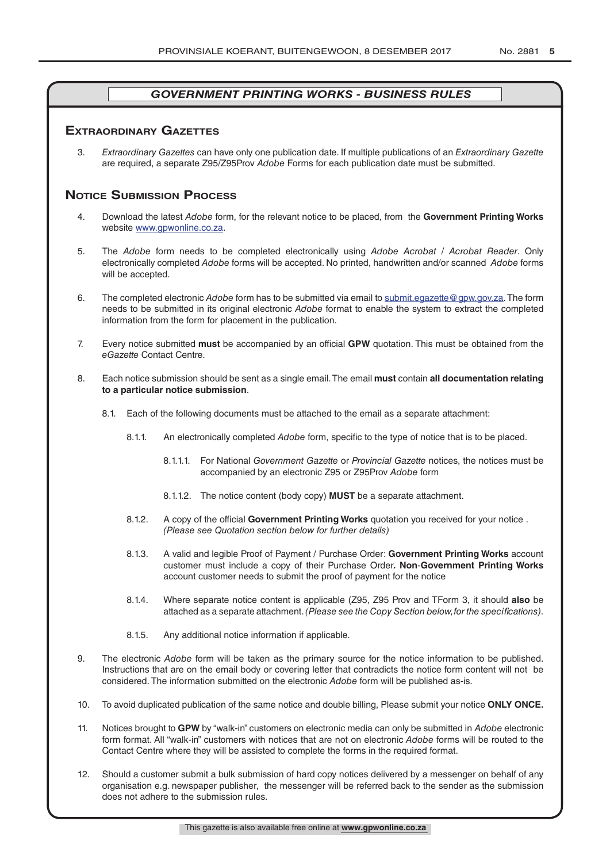# **exTrAordinAry gAzeTTes**

3. *Extraordinary Gazettes* can have only one publication date. If multiple publications of an *Extraordinary Gazette* are required, a separate Z95/Z95Prov *Adobe* Forms for each publication date must be submitted.

# **NOTICE SUBMISSION PROCESS**

- 4. Download the latest *Adobe* form, for the relevant notice to be placed, from the **Government Printing Works** website www.gpwonline.co.za.
- 5. The *Adobe* form needs to be completed electronically using *Adobe Acrobat* / *Acrobat Reader*. Only electronically completed *Adobe* forms will be accepted. No printed, handwritten and/or scanned *Adobe* forms will be accepted.
- 6. The completed electronic *Adobe* form has to be submitted via email to submit.egazette@gpw.gov.za. The form needs to be submitted in its original electronic *Adobe* format to enable the system to extract the completed information from the form for placement in the publication.
- 7. Every notice submitted **must** be accompanied by an official **GPW** quotation. This must be obtained from the *eGazette* Contact Centre.
- 8. Each notice submission should be sent as a single email. The email **must** contain **all documentation relating to a particular notice submission**.
	- 8.1. Each of the following documents must be attached to the email as a separate attachment:
		- 8.1.1. An electronically completed *Adobe* form, specific to the type of notice that is to be placed.
			- 8.1.1.1. For National *Government Gazette* or *Provincial Gazette* notices, the notices must be accompanied by an electronic Z95 or Z95Prov *Adobe* form
			- 8.1.1.2. The notice content (body copy) **MUST** be a separate attachment.
		- 8.1.2. A copy of the official **Government Printing Works** quotation you received for your notice . *(Please see Quotation section below for further details)*
		- 8.1.3. A valid and legible Proof of Payment / Purchase Order: **Government Printing Works** account customer must include a copy of their Purchase Order*.* **Non**-**Government Printing Works** account customer needs to submit the proof of payment for the notice
		- 8.1.4. Where separate notice content is applicable (Z95, Z95 Prov and TForm 3, it should **also** be attached as a separate attachment. *(Please see the Copy Section below, for the specifications)*.
		- 8.1.5. Any additional notice information if applicable.
- 9. The electronic *Adobe* form will be taken as the primary source for the notice information to be published. Instructions that are on the email body or covering letter that contradicts the notice form content will not be considered. The information submitted on the electronic *Adobe* form will be published as-is.
- 10. To avoid duplicated publication of the same notice and double billing, Please submit your notice **ONLY ONCE.**
- 11. Notices brought to **GPW** by "walk-in" customers on electronic media can only be submitted in *Adobe* electronic form format. All "walk-in" customers with notices that are not on electronic *Adobe* forms will be routed to the Contact Centre where they will be assisted to complete the forms in the required format.
- 12. Should a customer submit a bulk submission of hard copy notices delivered by a messenger on behalf of any organisation e.g. newspaper publisher, the messenger will be referred back to the sender as the submission does not adhere to the submission rules.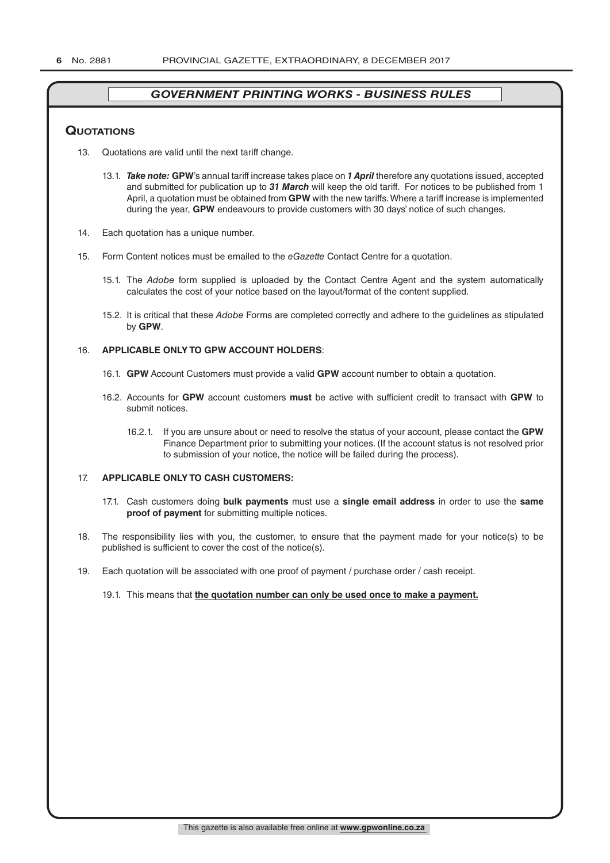# **QuoTATions**

- 13. Quotations are valid until the next tariff change.
	- 13.1. *Take note:* **GPW**'s annual tariff increase takes place on *1 April* therefore any quotations issued, accepted and submitted for publication up to *31 March* will keep the old tariff. For notices to be published from 1 April, a quotation must be obtained from **GPW** with the new tariffs. Where a tariff increase is implemented during the year, **GPW** endeavours to provide customers with 30 days' notice of such changes.
- 14. Each quotation has a unique number.
- 15. Form Content notices must be emailed to the *eGazette* Contact Centre for a quotation.
	- 15.1. The *Adobe* form supplied is uploaded by the Contact Centre Agent and the system automatically calculates the cost of your notice based on the layout/format of the content supplied.
	- 15.2. It is critical that these *Adobe* Forms are completed correctly and adhere to the guidelines as stipulated by **GPW**.

#### 16. **APPLICABLE ONLY TO GPW ACCOUNT HOLDERS**:

- 16.1. **GPW** Account Customers must provide a valid **GPW** account number to obtain a quotation.
- 16.2. Accounts for **GPW** account customers **must** be active with sufficient credit to transact with **GPW** to submit notices.
	- 16.2.1. If you are unsure about or need to resolve the status of your account, please contact the **GPW** Finance Department prior to submitting your notices. (If the account status is not resolved prior to submission of your notice, the notice will be failed during the process).

## 17. **APPLICABLE ONLY TO CASH CUSTOMERS:**

- 17.1. Cash customers doing **bulk payments** must use a **single email address** in order to use the **same proof of payment** for submitting multiple notices.
- 18. The responsibility lies with you, the customer, to ensure that the payment made for your notice(s) to be published is sufficient to cover the cost of the notice(s).
- 19. Each quotation will be associated with one proof of payment / purchase order / cash receipt.

#### 19.1. This means that **the quotation number can only be used once to make a payment.**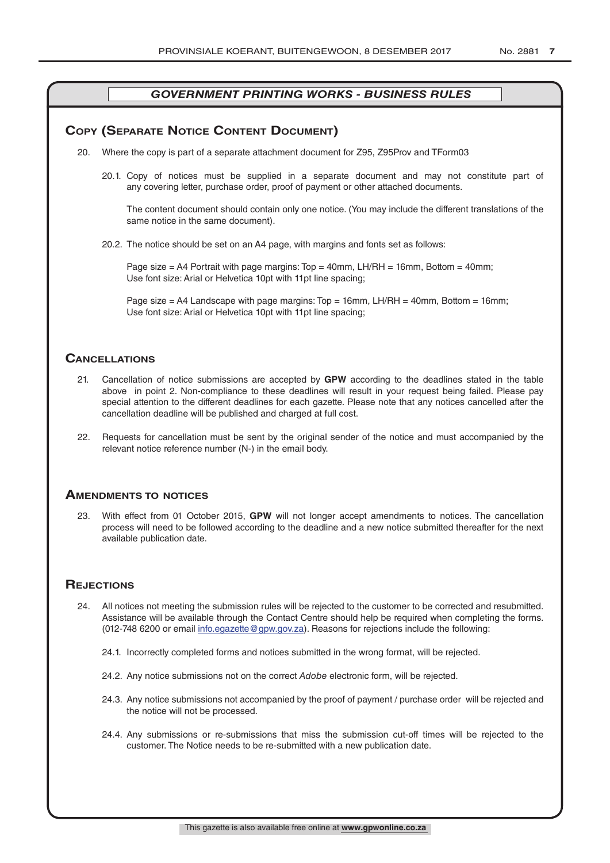# **COPY (SEPARATE NOTICE CONTENT DOCUMENT)**

- 20. Where the copy is part of a separate attachment document for Z95, Z95Prov and TForm03
	- 20.1. Copy of notices must be supplied in a separate document and may not constitute part of any covering letter, purchase order, proof of payment or other attached documents.

The content document should contain only one notice. (You may include the different translations of the same notice in the same document).

20.2. The notice should be set on an A4 page, with margins and fonts set as follows:

Page size  $=$  A4 Portrait with page margins: Top  $=$  40mm, LH/RH  $=$  16mm, Bottom  $=$  40mm; Use font size: Arial or Helvetica 10pt with 11pt line spacing;

Page size = A4 Landscape with page margins:  $Top = 16$ mm, LH/RH = 40mm, Bottom = 16mm; Use font size: Arial or Helvetica 10pt with 11pt line spacing;

# **CAnCellATions**

- 21. Cancellation of notice submissions are accepted by **GPW** according to the deadlines stated in the table above in point 2. Non-compliance to these deadlines will result in your request being failed. Please pay special attention to the different deadlines for each gazette. Please note that any notices cancelled after the cancellation deadline will be published and charged at full cost.
- 22. Requests for cancellation must be sent by the original sender of the notice and must accompanied by the relevant notice reference number (N-) in the email body.

# **AmendmenTs To noTiCes**

23. With effect from 01 October 2015, **GPW** will not longer accept amendments to notices. The cancellation process will need to be followed according to the deadline and a new notice submitted thereafter for the next available publication date.

# **REJECTIONS**

- 24. All notices not meeting the submission rules will be rejected to the customer to be corrected and resubmitted. Assistance will be available through the Contact Centre should help be required when completing the forms. (012-748 6200 or email info.egazette@gpw.gov.za). Reasons for rejections include the following:
	- 24.1. Incorrectly completed forms and notices submitted in the wrong format, will be rejected.
	- 24.2. Any notice submissions not on the correct *Adobe* electronic form, will be rejected.
	- 24.3. Any notice submissions not accompanied by the proof of payment / purchase order will be rejected and the notice will not be processed.
	- 24.4. Any submissions or re-submissions that miss the submission cut-off times will be rejected to the customer. The Notice needs to be re-submitted with a new publication date.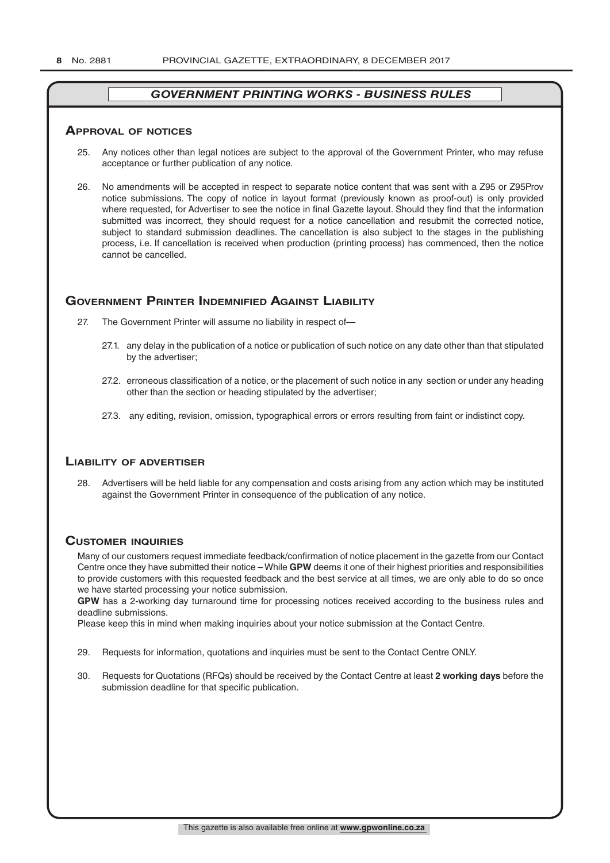#### **ApprovAl of noTiCes**

- 25. Any notices other than legal notices are subject to the approval of the Government Printer, who may refuse acceptance or further publication of any notice.
- 26. No amendments will be accepted in respect to separate notice content that was sent with a Z95 or Z95Prov notice submissions. The copy of notice in layout format (previously known as proof-out) is only provided where requested, for Advertiser to see the notice in final Gazette layout. Should they find that the information submitted was incorrect, they should request for a notice cancellation and resubmit the corrected notice, subject to standard submission deadlines. The cancellation is also subject to the stages in the publishing process, i.e. If cancellation is received when production (printing process) has commenced, then the notice cannot be cancelled.

# **governmenT prinTer indemnified AgAinsT liAbiliTy**

- 27. The Government Printer will assume no liability in respect of—
	- 27.1. any delay in the publication of a notice or publication of such notice on any date other than that stipulated by the advertiser;
	- 27.2. erroneous classification of a notice, or the placement of such notice in any section or under any heading other than the section or heading stipulated by the advertiser;
	- 27.3. any editing, revision, omission, typographical errors or errors resulting from faint or indistinct copy.

# **liAbiliTy of AdverTiser**

28. Advertisers will be held liable for any compensation and costs arising from any action which may be instituted against the Government Printer in consequence of the publication of any notice.

# **CusTomer inQuiries**

Many of our customers request immediate feedback/confirmation of notice placement in the gazette from our Contact Centre once they have submitted their notice – While **GPW** deems it one of their highest priorities and responsibilities to provide customers with this requested feedback and the best service at all times, we are only able to do so once we have started processing your notice submission.

**GPW** has a 2-working day turnaround time for processing notices received according to the business rules and deadline submissions.

Please keep this in mind when making inquiries about your notice submission at the Contact Centre.

- 29. Requests for information, quotations and inquiries must be sent to the Contact Centre ONLY.
- 30. Requests for Quotations (RFQs) should be received by the Contact Centre at least **2 working days** before the submission deadline for that specific publication.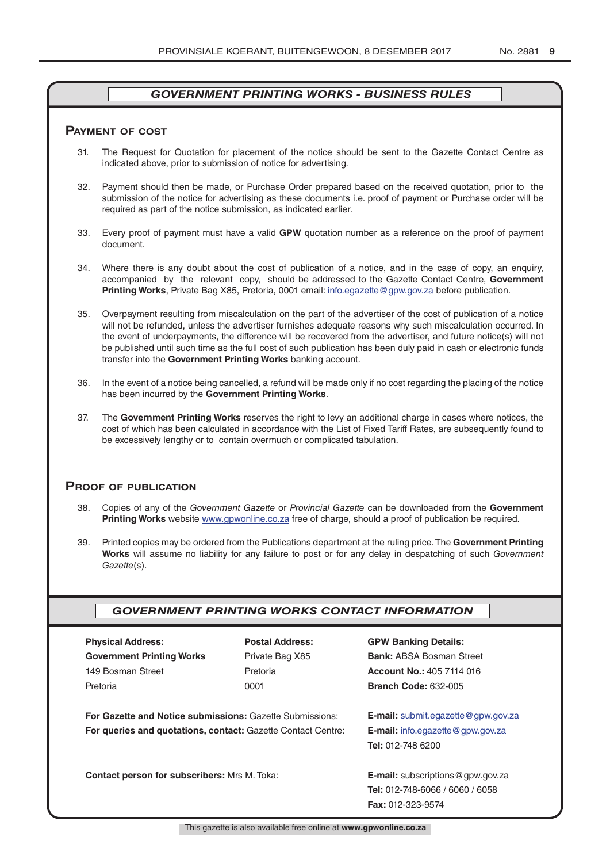### **pAymenT of CosT**

- 31. The Request for Quotation for placement of the notice should be sent to the Gazette Contact Centre as indicated above, prior to submission of notice for advertising.
- 32. Payment should then be made, or Purchase Order prepared based on the received quotation, prior to the submission of the notice for advertising as these documents i.e. proof of payment or Purchase order will be required as part of the notice submission, as indicated earlier.
- 33. Every proof of payment must have a valid **GPW** quotation number as a reference on the proof of payment document.
- 34. Where there is any doubt about the cost of publication of a notice, and in the case of copy, an enquiry, accompanied by the relevant copy, should be addressed to the Gazette Contact Centre, **Government Printing Works**, Private Bag X85, Pretoria, 0001 email: info.egazette@gpw.gov.za before publication.
- 35. Overpayment resulting from miscalculation on the part of the advertiser of the cost of publication of a notice will not be refunded, unless the advertiser furnishes adequate reasons why such miscalculation occurred. In the event of underpayments, the difference will be recovered from the advertiser, and future notice(s) will not be published until such time as the full cost of such publication has been duly paid in cash or electronic funds transfer into the **Government Printing Works** banking account.
- 36. In the event of a notice being cancelled, a refund will be made only if no cost regarding the placing of the notice has been incurred by the **Government Printing Works**.
- 37. The **Government Printing Works** reserves the right to levy an additional charge in cases where notices, the cost of which has been calculated in accordance with the List of Fixed Tariff Rates, are subsequently found to be excessively lengthy or to contain overmuch or complicated tabulation.

# **proof of publiCATion**

- 38. Copies of any of the *Government Gazette* or *Provincial Gazette* can be downloaded from the **Government Printing Works** website www.gpwonline.co.za free of charge, should a proof of publication be required.
- 39. Printed copies may be ordered from the Publications department at the ruling price. The **Government Printing Works** will assume no liability for any failure to post or for any delay in despatching of such *Government Gazette*(s).

# *GOVERNMENT PRINTING WORKS CONTACT INFORMATION*

| <b>Physical Address:</b>         |  |  |  |  |
|----------------------------------|--|--|--|--|
| <b>Government Printing Works</b> |  |  |  |  |
| 149 Bosman Street                |  |  |  |  |
| Pretoria                         |  |  |  |  |

**For Gazette and Notice submissions:** Gazette Submissions: **E-mail:** submit.egazette@gpw.gov.za **For queries and quotations, contact:** Gazette Contact Centre: **E-mail:** info.egazette@gpw.gov.za

**Contact person for subscribers:** Mrs M. Toka: **E-mail:** subscriptions@gpw.gov.za

# **Physical Address: Postal Address: GPW Banking Details:**

Private Bag X85 **Bank:** ABSA Bosman Street 149 Bosman Street Pretoria **Account No.:** 405 7114 016 Pretoria 0001 **Branch Code:** 632-005

**Tel:** 012-748 6200

**Tel:** 012-748-6066 / 6060 / 6058 **Fax:** 012-323-9574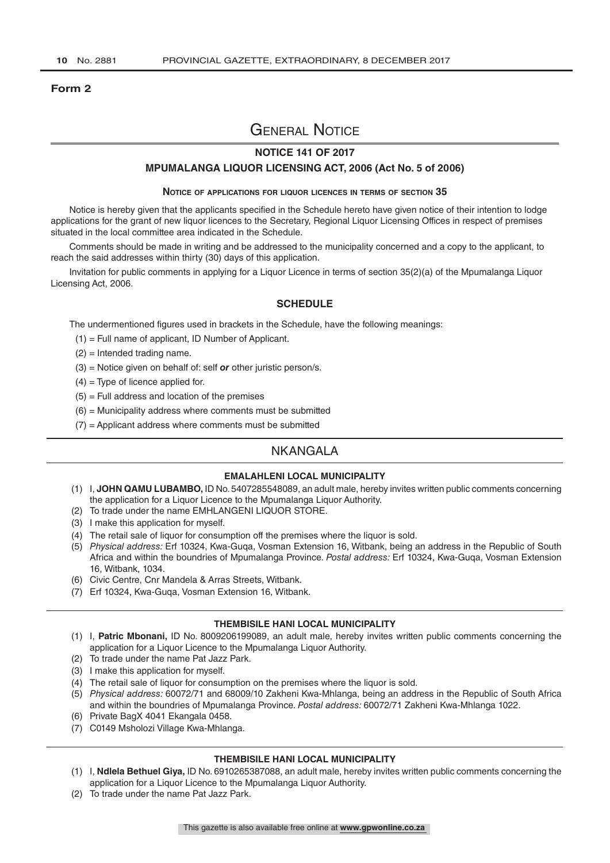#### **Form 2**

# General Notice

# **NOTICE 141 OF 2017**

#### **MPUMALANGA LIQUOR LICENSING ACT, 2006 (Act No. 5 of 2006)**

#### **Notice of applications for liquor licences in terms of section 35**

Notice is hereby given that the applicants specified in the Schedule hereto have given notice of their intention to lodge applications for the grant of new liquor licences to the Secretary, Regional Liquor Licensing Offices in respect of premises situated in the local committee area indicated in the Schedule.

Comments should be made in writing and be addressed to the municipality concerned and a copy to the applicant, to reach the said addresses within thirty (30) days of this application.

Invitation for public comments in applying for a Liquor Licence in terms of section 35(2)(a) of the Mpumalanga Liquor Licensing Act, 2006.

#### **SCHEDULE**

The undermentioned figures used in brackets in the Schedule, have the following meanings:

- (1) = Full name of applicant, ID Number of Applicant.
- (2) = Intended trading name.
- (3) = Notice given on behalf of: self *or* other juristic person/s.
- $(4)$  = Type of licence applied for.
- $(5)$  = Full address and location of the premises
- $(6)$  = Municipality address where comments must be submitted
- $(7)$  = Applicant address where comments must be submitted

# NKANGALA

### **EMALAHLENI LOCAL MUNICIPALITY**

- (1) I, **JOHN QAMU LUBAMBO,** ID No. 5407285548089, an adult male, hereby invites written public comments concerning the application for a Liquor Licence to the Mpumalanga Liquor Authority.
- (2) To trade under the name EMHLANGENI LIQUOR STORE.
- (3) I make this application for myself.
- (4) The retail sale of liquor for consumption off the premises where the liquor is sold.
- (5) *Physical address:* Erf 10324, Kwa-Guqa, Vosman Extension 16, Witbank, being an address in the Republic of South Africa and within the boundries of Mpumalanga Province. *Postal address:* Erf 10324, Kwa-Guqa, Vosman Extension 16, Witbank, 1034.
- (6) Civic Centre, Cnr Mandela & Arras Streets, Witbank.
- (7) Erf 10324, Kwa-Guqa, Vosman Extension 16, Witbank.

#### **THEMBISILE HANI LOCAL MUNICIPALITY**

- (1) I, **Patric Mbonani,** ID No. 8009206199089, an adult male, hereby invites written public comments concerning the application for a Liquor Licence to the Mpumalanga Liquor Authority.
- (2) To trade under the name Pat Jazz Park.
- (3) I make this application for myself.
- (4) The retail sale of liquor for consumption on the premises where the liquor is sold.
- (5) *Physical address:* 60072/71 and 68009/10 Zakheni Kwa-Mhlanga, being an address in the Republic of South Africa and within the boundries of Mpumalanga Province. *Postal address:* 60072/71 Zakheni Kwa-Mhlanga 1022.
- (6) Private BagX 4041 Ekangala 0458.
- (7) C0149 Msholozi Village Kwa-Mhlanga.

#### **THEMBISILE HANI LOCAL MUNICIPALITY**

- (1) I, **Ndlela Bethuel Giya,** ID No. 6910265387088, an adult male, hereby invites written public comments concerning the application for a Liquor Licence to the Mpumalanga Liquor Authority.
- (2) To trade under the name Pat Jazz Park.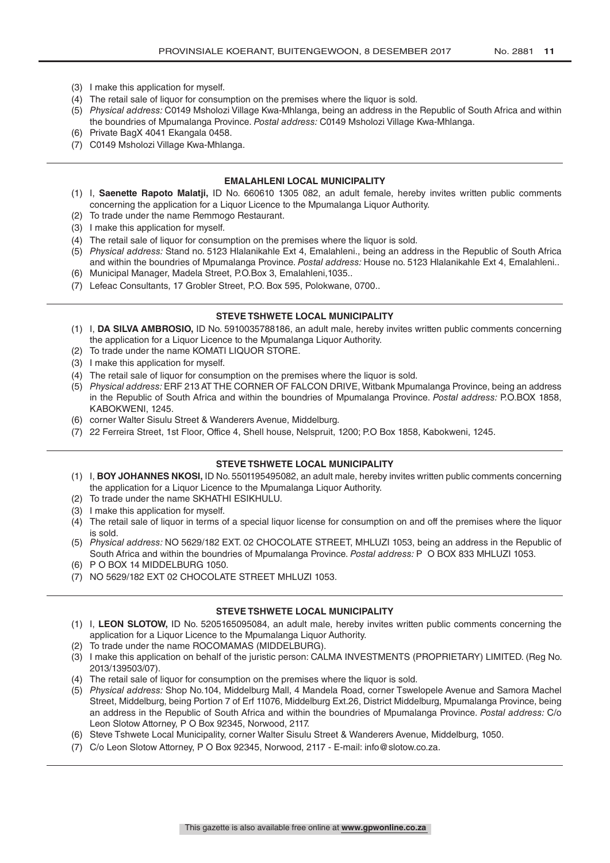- (3) I make this application for myself.
- (4) The retail sale of liquor for consumption on the premises where the liquor is sold.
- (5) *Physical address:* C0149 Msholozi Village Kwa-Mhlanga, being an address in the Republic of South Africa and within the boundries of Mpumalanga Province. *Postal address:* C0149 Msholozi Village Kwa-Mhlanga.
- (6) Private BagX 4041 Ekangala 0458.
- (7) C0149 Msholozi Village Kwa-Mhlanga.

#### **EMALAHLENI LOCAL MUNICIPALITY**

- (1) I, **Saenette Rapoto Malatji,** ID No. 660610 1305 082, an adult female, hereby invites written public comments concerning the application for a Liquor Licence to the Mpumalanga Liquor Authority.
- (2) To trade under the name Remmogo Restaurant.
- (3) I make this application for myself.
- (4) The retail sale of liquor for consumption on the premises where the liquor is sold.
- (5) *Physical address:* Stand no. 5123 Hlalanikahle Ext 4, Emalahleni., being an address in the Republic of South Africa and within the boundries of Mpumalanga Province. *Postal address:* House no. 5123 Hlalanikahle Ext 4, Emalahleni..
- (6) Municipal Manager, Madela Street, P.O.Box 3, Emalahleni,1035..
- (7) Lefeac Consultants, 17 Grobler Street, P.O. Box 595, Polokwane, 0700..

#### **STEVE TSHWETE LOCAL MUNICIPALITY**

- (1) I, **DA SILVA AMBROSIO,** ID No. 5910035788186, an adult male, hereby invites written public comments concerning the application for a Liquor Licence to the Mpumalanga Liquor Authority.
- (2) To trade under the name KOMATI LIQUOR STORE.
- (3) I make this application for myself.
- (4) The retail sale of liquor for consumption on the premises where the liquor is sold.
- (5) *Physical address:* ERF 213 AT THE CORNER OF FALCON DRIVE, Witbank Mpumalanga Province, being an address in the Republic of South Africa and within the boundries of Mpumalanga Province. *Postal address:* P.O.BOX 1858, KABOKWENI, 1245.
- (6) corner Walter Sisulu Street & Wanderers Avenue, Middelburg.
- (7) 22 Ferreira Street, 1st Floor, Office 4, Shell house, Nelspruit, 1200; P.O Box 1858, Kabokweni, 1245.

# **STEVE TSHWETE LOCAL MUNICIPALITY**

- (1) I, **BOY JOHANNES NKOSI,** ID No. 5501195495082, an adult male, hereby invites written public comments concerning the application for a Liquor Licence to the Mpumalanga Liquor Authority.
- (2) To trade under the name SKHATHI ESIKHULU.
- (3) I make this application for myself.
- (4) The retail sale of liquor in terms of a special liquor license for consumption on and off the premises where the liquor is sold.
- (5) *Physical address:* NO 5629/182 EXT. 02 CHOCOLATE STREET, MHLUZI 1053, being an address in the Republic of South Africa and within the boundries of Mpumalanga Province. *Postal address:* P O BOX 833 MHLUZI 1053.
- (6) P O BOX 14 MIDDELBURG 1050.
- (7) NO 5629/182 EXT 02 CHOCOLATE STREET MHLUZI 1053.

#### **STEVE TSHWETE LOCAL MUNICIPALITY**

- (1) I, **LEON SLOTOW,** ID No. 5205165095084, an adult male, hereby invites written public comments concerning the application for a Liquor Licence to the Mpumalanga Liquor Authority.
- (2) To trade under the name ROCOMAMAS (MIDDELBURG).
- (3) I make this application on behalf of the juristic person: CALMA INVESTMENTS (PROPRIETARY) LIMITED. (Reg No. 2013/139503/07).
- (4) The retail sale of liquor for consumption on the premises where the liquor is sold.
- (5) *Physical address:* Shop No.104, Middelburg Mall, 4 Mandela Road, corner Tswelopele Avenue and Samora Machel Street, Middelburg, being Portion 7 of Erf 11076, Middelburg Ext.26, District Middelburg, Mpumalanga Province, being an address in the Republic of South Africa and within the boundries of Mpumalanga Province. *Postal address:* C/o Leon Slotow Attorney, P O Box 92345, Norwood, 2117.
- (6) Steve Tshwete Local Municipality, corner Walter Sisulu Street & Wanderers Avenue, Middelburg, 1050.
- (7) C/o Leon Slotow Attorney, P O Box 92345, Norwood, 2117 E-mail: info@slotow.co.za.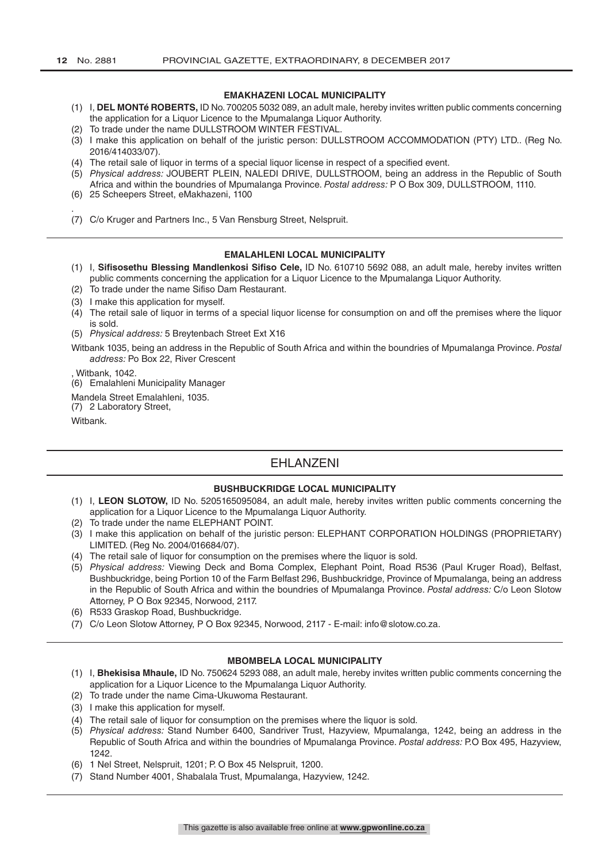.

# **EMAKHAZENI LOCAL MUNICIPALITY**

- (1) I, **DEL MONTé ROBERTS,** ID No. 700205 5032 089, an adult male, hereby invites written public comments concerning the application for a Liquor Licence to the Mpumalanga Liquor Authority.
- (2) To trade under the name DULLSTROOM WINTER FESTIVAL.
- (3) I make this application on behalf of the juristic person: DULLSTROOM ACCOMMODATION (PTY) LTD.. (Reg No. 2016/414033/07).
- (4) The retail sale of liquor in terms of a special liquor license in respect of a specified event.
- (5) *Physical address:* JOUBERT PLEIN, NALEDI DRIVE, DULLSTROOM, being an address in the Republic of South Africa and within the boundries of Mpumalanga Province. *Postal address:* P O Box 309, DULLSTROOM, 1110.
- (6) 25 Scheepers Street, eMakhazeni, 1100
- (7) C/o Kruger and Partners Inc., 5 Van Rensburg Street, Nelspruit.

# **EMALAHLENI LOCAL MUNICIPALITY**

- (1) I, **Sifisosethu Blessing Mandlenkosi Sifiso Cele,** ID No. 610710 5692 088, an adult male, hereby invites written public comments concerning the application for a Liquor Licence to the Mpumalanga Liquor Authority.
- (2) To trade under the name Sifiso Dam Restaurant.
- (3) I make this application for myself.
- (4) The retail sale of liquor in terms of a special liquor license for consumption on and off the premises where the liquor is sold.
- (5) *Physical address:* 5 Breytenbach Street Ext X16

Witbank 1035, being an address in the Republic of South Africa and within the boundries of Mpumalanga Province. *Postal address:* Po Box 22, River Crescent

, Witbank, 1042.

(6) Emalahleni Municipality Manager

Mandela Street Emalahleni, 1035.

(7) 2 Laboratory Street,

Witbank.

# EHLANZENI

# **BUSHBUCKRIDGE LOCAL MUNICIPALITY**

- (1) I, **LEON SLOTOW,** ID No. 5205165095084, an adult male, hereby invites written public comments concerning the application for a Liquor Licence to the Mpumalanga Liquor Authority.
- (2) To trade under the name ELEPHANT POINT.
- (3) I make this application on behalf of the juristic person: ELEPHANT CORPORATION HOLDINGS (PROPRIETARY) LIMITED. (Reg No. 2004/016684/07).
- (4) The retail sale of liquor for consumption on the premises where the liquor is sold.
- (5) *Physical address:* Viewing Deck and Boma Complex, Elephant Point, Road R536 (Paul Kruger Road), Belfast, Bushbuckridge, being Portion 10 of the Farm Belfast 296, Bushbuckridge, Province of Mpumalanga, being an address in the Republic of South Africa and within the boundries of Mpumalanga Province. *Postal address:* C/o Leon Slotow Attorney, P O Box 92345, Norwood, 2117.
- (6) R533 Graskop Road, Bushbuckridge.
- (7) C/o Leon Slotow Attorney, P O Box 92345, Norwood, 2117 E-mail: info@slotow.co.za.

#### **MBOMBELA LOCAL MUNICIPALITY**

- (1) I, **Bhekisisa Mhaule,** ID No. 750624 5293 088, an adult male, hereby invites written public comments concerning the application for a Liquor Licence to the Mpumalanga Liquor Authority.
- (2) To trade under the name Cima-Ukuwoma Restaurant.
- (3) I make this application for myself.
- (4) The retail sale of liquor for consumption on the premises where the liquor is sold.
- (5) *Physical address:* Stand Number 6400, Sandriver Trust, Hazyview, Mpumalanga, 1242, being an address in the Republic of South Africa and within the boundries of Mpumalanga Province. *Postal address:* P.O Box 495, Hazyview, 1242.
- (6) 1 Nel Street, Nelspruit, 1201; P. O Box 45 Nelspruit, 1200.
- (7) Stand Number 4001, Shabalala Trust, Mpumalanga, Hazyview, 1242.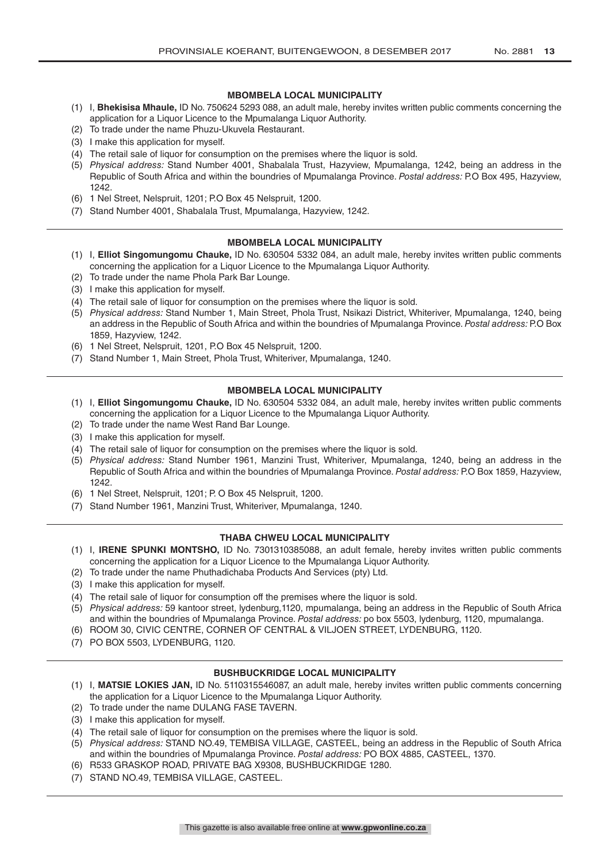## **MBOMBELA LOCAL MUNICIPALITY**

- (1) I, **Bhekisisa Mhaule,** ID No. 750624 5293 088, an adult male, hereby invites written public comments concerning the application for a Liquor Licence to the Mpumalanga Liquor Authority.
- (2) To trade under the name Phuzu-Ukuvela Restaurant.
- (3) I make this application for myself.
- (4) The retail sale of liquor for consumption on the premises where the liquor is sold.
- (5) *Physical address:* Stand Number 4001, Shabalala Trust, Hazyview, Mpumalanga, 1242, being an address in the Republic of South Africa and within the boundries of Mpumalanga Province. *Postal address:* P.O Box 495, Hazyview, 1242.
- (6) 1 Nel Street, Nelspruit, 1201; P.O Box 45 Nelspruit, 1200.
- (7) Stand Number 4001, Shabalala Trust, Mpumalanga, Hazyview, 1242.

#### **MBOMBELA LOCAL MUNICIPALITY**

- (1) I, **Elliot Singomungomu Chauke,** ID No. 630504 5332 084, an adult male, hereby invites written public comments concerning the application for a Liquor Licence to the Mpumalanga Liquor Authority.
- (2) To trade under the name Phola Park Bar Lounge.
- (3) I make this application for myself.
- (4) The retail sale of liquor for consumption on the premises where the liquor is sold.
- (5) *Physical address:* Stand Number 1, Main Street, Phola Trust, Nsikazi District, Whiteriver, Mpumalanga, 1240, being an address in the Republic of South Africa and within the boundries of Mpumalanga Province. *Postal address:* P.O Box 1859, Hazyview, 1242.
- (6) 1 Nel Street, Nelspruit, 1201, P.O Box 45 Nelspruit, 1200.
- (7) Stand Number 1, Main Street, Phola Trust, Whiteriver, Mpumalanga, 1240.

### **MBOMBELA LOCAL MUNICIPALITY**

- (1) I, **Elliot Singomungomu Chauke,** ID No. 630504 5332 084, an adult male, hereby invites written public comments concerning the application for a Liquor Licence to the Mpumalanga Liquor Authority.
- (2) To trade under the name West Rand Bar Lounge.
- (3) I make this application for myself.
- (4) The retail sale of liquor for consumption on the premises where the liquor is sold.
- (5) *Physical address:* Stand Number 1961, Manzini Trust, Whiteriver, Mpumalanga, 1240, being an address in the Republic of South Africa and within the boundries of Mpumalanga Province. *Postal address:* P.O Box 1859, Hazyview, 1242.
- (6) 1 Nel Street, Nelspruit, 1201; P. O Box 45 Nelspruit, 1200.
- (7) Stand Number 1961, Manzini Trust, Whiteriver, Mpumalanga, 1240.

# **THABA CHWEU LOCAL MUNICIPALITY**

- (1) I, **IRENE SPUNKI MONTSHO,** ID No. 7301310385088, an adult female, hereby invites written public comments concerning the application for a Liquor Licence to the Mpumalanga Liquor Authority.
- (2) To trade under the name Phuthadichaba Products And Services (pty) Ltd.
- (3) I make this application for myself.
- (4) The retail sale of liquor for consumption off the premises where the liquor is sold.
- (5) *Physical address:* 59 kantoor street, lydenburg,1120, mpumalanga, being an address in the Republic of South Africa and within the boundries of Mpumalanga Province. *Postal address:* po box 5503, lydenburg, 1120, mpumalanga.
- (6) ROOM 30, CIVIC CENTRE, CORNER OF CENTRAL & VILJOEN STREET, LYDENBURG, 1120.
- (7) PO BOX 5503, LYDENBURG, 1120.

# **BUSHBUCKRIDGE LOCAL MUNICIPALITY**

- (1) I, **MATSIE LOKIES JAN,** ID No. 5110315546087, an adult male, hereby invites written public comments concerning the application for a Liquor Licence to the Mpumalanga Liquor Authority.
- (2) To trade under the name DULANG FASE TAVERN.
- (3) I make this application for myself.
- (4) The retail sale of liquor for consumption on the premises where the liquor is sold.
- (5) *Physical address:* STAND NO.49, TEMBISA VILLAGE, CASTEEL, being an address in the Republic of South Africa and within the boundries of Mpumalanga Province. *Postal address:* PO BOX 4885, CASTEEL, 1370.
- (6) R533 GRASKOP ROAD, PRIVATE BAG X9308, BUSHBUCKRIDGE 1280.
- (7) STAND NO.49, TEMBISA VILLAGE, CASTEEL.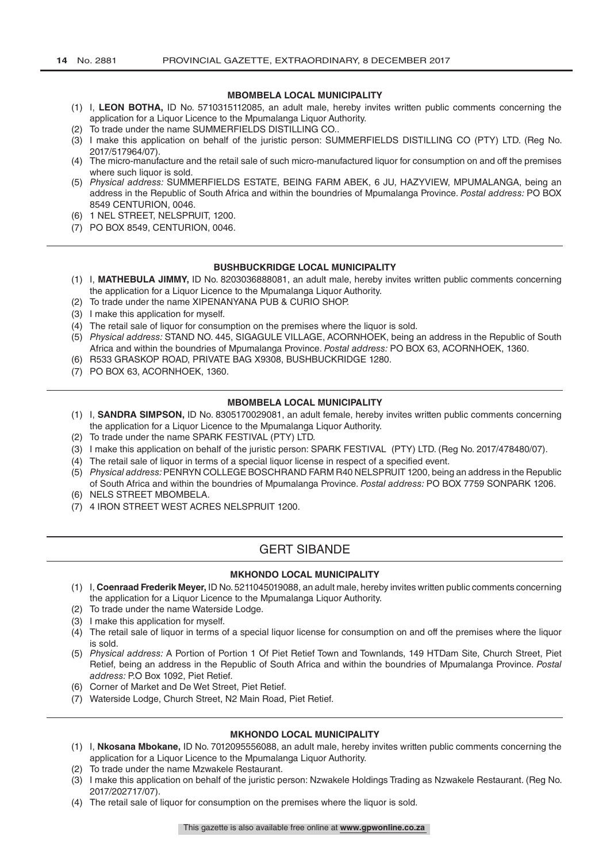#### **MBOMBELA LOCAL MUNICIPALITY**

- (1) I, **LEON BOTHA,** ID No. 5710315112085, an adult male, hereby invites written public comments concerning the application for a Liquor Licence to the Mpumalanga Liquor Authority.
- (2) To trade under the name SUMMERFIELDS DISTILLING CO..
- (3) I make this application on behalf of the juristic person: SUMMERFIELDS DISTILLING CO (PTY) LTD. (Reg No. 2017/517964/07).
- (4) The micro-manufacture and the retail sale of such micro-manufactured liquor for consumption on and off the premises where such liquor is sold.
- (5) *Physical address:* SUMMERFIELDS ESTATE, BEING FARM ABEK, 6 JU, HAZYVIEW, MPUMALANGA, being an address in the Republic of South Africa and within the boundries of Mpumalanga Province. *Postal address:* PO BOX 8549 CENTURION, 0046.
- (6) 1 NEL STREET, NELSPRUIT, 1200.
- (7) PO BOX 8549, CENTURION, 0046.

#### **BUSHBUCKRIDGE LOCAL MUNICIPALITY**

- (1) I, **MATHEBULA JIMMY,** ID No. 8203036888081, an adult male, hereby invites written public comments concerning the application for a Liquor Licence to the Mpumalanga Liquor Authority.
- (2) To trade under the name XIPENANYANA PUB & CURIO SHOP.
- (3) I make this application for myself.
- (4) The retail sale of liquor for consumption on the premises where the liquor is sold.
- (5) *Physical address:* STAND NO. 445, SIGAGULE VILLAGE, ACORNHOEK, being an address in the Republic of South Africa and within the boundries of Mpumalanga Province. *Postal address:* PO BOX 63, ACORNHOEK, 1360.
- (6) R533 GRASKOP ROAD, PRIVATE BAG X9308, BUSHBUCKRIDGE 1280.
- (7) PO BOX 63, ACORNHOEK, 1360.

#### **MBOMBELA LOCAL MUNICIPALITY**

- (1) I, **SANDRA SIMPSON,** ID No. 8305170029081, an adult female, hereby invites written public comments concerning the application for a Liquor Licence to the Mpumalanga Liquor Authority.
- (2) To trade under the name SPARK FESTIVAL (PTY) LTD.
- (3) I make this application on behalf of the juristic person: SPARK FESTIVAL (PTY) LTD. (Reg No. 2017/478480/07).
- (4) The retail sale of liquor in terms of a special liquor license in respect of a specified event.
- (5) *Physical address:* PENRYN COLLEGE BOSCHRAND FARM R40 NELSPRUIT 1200, being an address in the Republic of South Africa and within the boundries of Mpumalanga Province. *Postal address:* PO BOX 7759 SONPARK 1206.
- (6) NELS STREET MBOMBELA.
- (7) 4 IRON STREET WEST ACRES NELSPRUIT 1200.

# GERT SIBANDE

#### **MKHONDO LOCAL MUNICIPALITY**

- (1) I, **Coenraad Frederik Meyer,** ID No. 5211045019088, an adult male, hereby invites written public comments concerning the application for a Liquor Licence to the Mpumalanga Liquor Authority.
- (2) To trade under the name Waterside Lodge.
- (3) I make this application for myself.
- (4) The retail sale of liquor in terms of a special liquor license for consumption on and off the premises where the liquor is sold.
- (5) *Physical address:* A Portion of Portion 1 Of Piet Retief Town and Townlands, 149 HTDam Site, Church Street, Piet Retief, being an address in the Republic of South Africa and within the boundries of Mpumalanga Province. *Postal address:* P.O Box 1092, Piet Retief.
- (6) Corner of Market and De Wet Street, Piet Retief.
- (7) Waterside Lodge, Church Street, N2 Main Road, Piet Retief.

#### **MKHONDO LOCAL MUNICIPALITY**

- (1) I, **Nkosana Mbokane,** ID No. 7012095556088, an adult male, hereby invites written public comments concerning the application for a Liquor Licence to the Mpumalanga Liquor Authority.
- (2) To trade under the name Mzwakele Restaurant.
- (3) I make this application on behalf of the juristic person: Nzwakele Holdings Trading as Nzwakele Restaurant. (Reg No. 2017/202717/07).
- (4) The retail sale of liquor for consumption on the premises where the liquor is sold.

This gazette is also available free online at **www.gpwonline.co.za**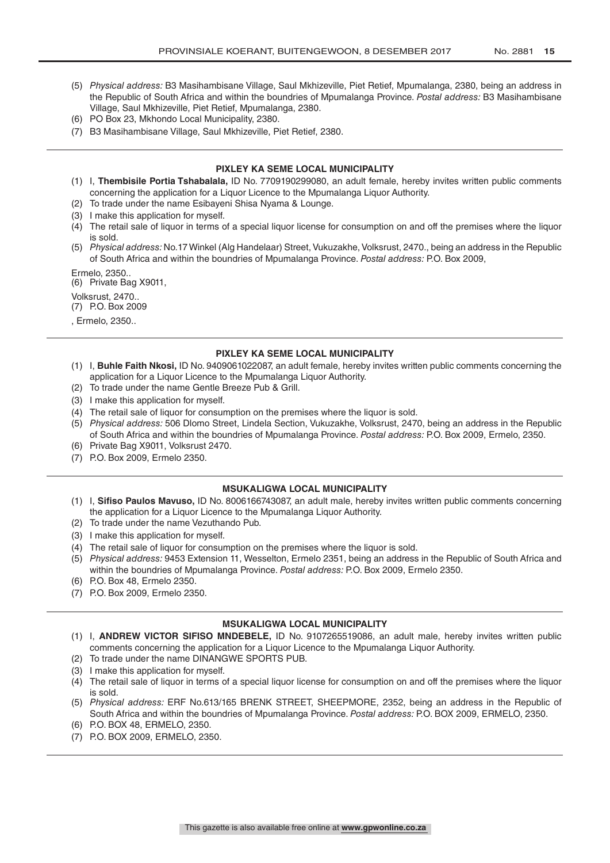- (5) *Physical address:* B3 Masihambisane Village, Saul Mkhizeville, Piet Retief, Mpumalanga, 2380, being an address in the Republic of South Africa and within the boundries of Mpumalanga Province. *Postal address:* B3 Masihambisane Village, Saul Mkhizeville, Piet Retief, Mpumalanga, 2380.
- (6) PO Box 23, Mkhondo Local Municipality, 2380.
- (7) B3 Masihambisane Village, Saul Mkhizeville, Piet Retief, 2380.

#### **PIXLEY KA SEME LOCAL MUNICIPALITY**

- (1) I, **Thembisile Portia Tshabalala,** ID No. 7709190299080, an adult female, hereby invites written public comments concerning the application for a Liquor Licence to the Mpumalanga Liquor Authority.
- (2) To trade under the name Esibayeni Shisa Nyama & Lounge.
- (3) I make this application for myself.
- (4) The retail sale of liquor in terms of a special liquor license for consumption on and off the premises where the liquor is sold.
- (5) *Physical address:* No.17 Winkel (Alg Handelaar) Street, Vukuzakhe, Volksrust, 2470., being an address in the Republic of South Africa and within the boundries of Mpumalanga Province. *Postal address:* P.O. Box 2009,

Ermelo, 2350..

(6) Private Bag X9011,

Volksrust, 2470..

(7) P.O. Box 2009

, Ermelo, 2350..

#### **PIXLEY KA SEME LOCAL MUNICIPALITY**

- (1) I, **Buhle Faith Nkosi,** ID No. 9409061022087, an adult female, hereby invites written public comments concerning the application for a Liquor Licence to the Mpumalanga Liquor Authority.
- (2) To trade under the name Gentle Breeze Pub & Grill.
- (3) I make this application for myself.
- (4) The retail sale of liquor for consumption on the premises where the liquor is sold.
- (5) *Physical address:* 506 Dlomo Street, Lindela Section, Vukuzakhe, Volksrust, 2470, being an address in the Republic of South Africa and within the boundries of Mpumalanga Province. *Postal address:* P.O. Box 2009, Ermelo, 2350.
- (6) Private Bag X9011, Volksrust 2470.
- (7) P.O. Box 2009, Ermelo 2350.

#### **MSUKALIGWA LOCAL MUNICIPALITY**

- (1) I, **Sifiso Paulos Mavuso,** ID No. 8006166743087, an adult male, hereby invites written public comments concerning the application for a Liquor Licence to the Mpumalanga Liquor Authority.
- (2) To trade under the name Vezuthando Pub.
- (3) I make this application for myself.
- (4) The retail sale of liquor for consumption on the premises where the liquor is sold.
- (5) *Physical address:* 9453 Extension 11, Wesselton, Ermelo 2351, being an address in the Republic of South Africa and within the boundries of Mpumalanga Province. *Postal address:* P.O. Box 2009, Ermelo 2350.
- (6) P.O. Box 48, Ermelo 2350.
- (7) P.O. Box 2009, Ermelo 2350.

#### **MSUKALIGWA LOCAL MUNICIPALITY**

- (1) I, **ANDREW VICTOR SIFISO MNDEBELE,** ID No. 9107265519086, an adult male, hereby invites written public comments concerning the application for a Liquor Licence to the Mpumalanga Liquor Authority.
- (2) To trade under the name DINANGWE SPORTS PUB.
- (3) I make this application for myself.
- (4) The retail sale of liquor in terms of a special liquor license for consumption on and off the premises where the liquor is sold.
- (5) *Physical address:* ERF No.613/165 BRENK STREET, SHEEPMORE, 2352, being an address in the Republic of South Africa and within the boundries of Mpumalanga Province. *Postal address:* P.O. BOX 2009, ERMELO, 2350.
- (6) P.O. BOX 48, ERMELO, 2350.
- (7) P.O. BOX 2009, ERMELO, 2350.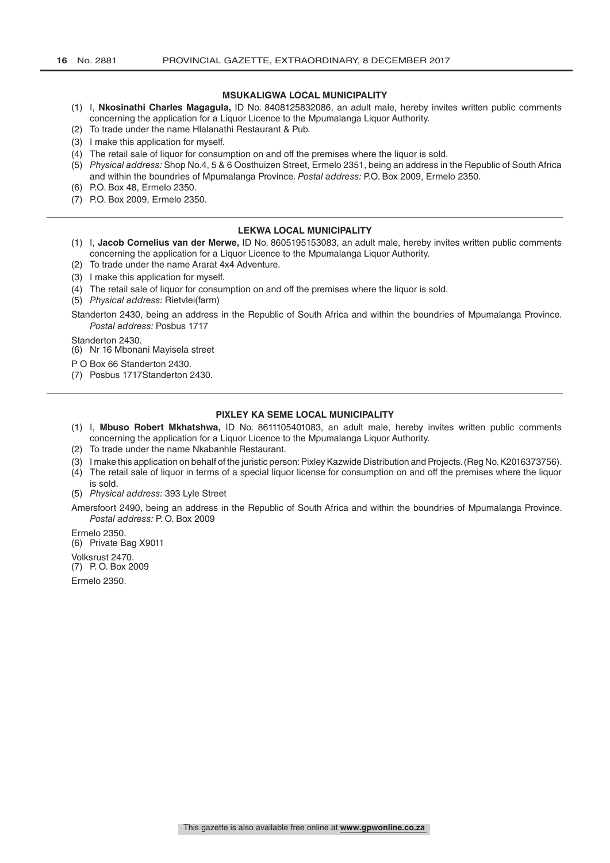#### **MSUKALIGWA LOCAL MUNICIPALITY**

- (1) I, **Nkosinathi Charles Magagula,** ID No. 8408125832086, an adult male, hereby invites written public comments concerning the application for a Liquor Licence to the Mpumalanga Liquor Authority.
- (2) To trade under the name Hlalanathi Restaurant & Pub.
- (3) I make this application for myself.
- (4) The retail sale of liquor for consumption on and off the premises where the liquor is sold.
- (5) *Physical address:* Shop No.4, 5 & 6 Oosthuizen Street, Ermelo 2351, being an address in the Republic of South Africa and within the boundries of Mpumalanga Province. *Postal address:* P.O. Box 2009, Ermelo 2350.
- (6) P.O. Box 48, Ermelo 2350.
- (7) P.O. Box 2009, Ermelo 2350.

#### **LEKWA LOCAL MUNICIPALITY**

- (1) I, **Jacob Cornelius van der Merwe,** ID No. 8605195153083, an adult male, hereby invites written public comments concerning the application for a Liquor Licence to the Mpumalanga Liquor Authority.
- (2) To trade under the name Ararat 4x4 Adventure.
- (3) I make this application for myself.
- (4) The retail sale of liquor for consumption on and off the premises where the liquor is sold.
- (5) *Physical address:* Rietvlei(farm)

Standerton 2430, being an address in the Republic of South Africa and within the boundries of Mpumalanga Province. *Postal address:* Posbus 1717

Standerton 2430.

(6) Nr 16 Mbonani Mayisela street

P O Box 66 Standerton 2430.

(7) Posbus 1717Standerton 2430.

#### **PIXLEY KA SEME LOCAL MUNICIPALITY**

- (1) I, **Mbuso Robert Mkhatshwa,** ID No. 8611105401083, an adult male, hereby invites written public comments concerning the application for a Liquor Licence to the Mpumalanga Liquor Authority.
- (2) To trade under the name Nkabanhle Restaurant.
- (3) I make this application on behalf of the juristic person: Pixley Kazwide Distribution and Projects. (Reg No. K2016373756).
- (4) The retail sale of liquor in terms of a special liquor license for consumption on and off the premises where the liquor is sold.
- (5) *Physical address:* 393 Lyle Street

Amersfoort 2490, being an address in the Republic of South Africa and within the boundries of Mpumalanga Province. *Postal address:* P. O. Box 2009

Ermelo 2350. (6) Private Bag X9011 Volksrust 2470. (7) P. O. Box 2009

Ermelo 2350.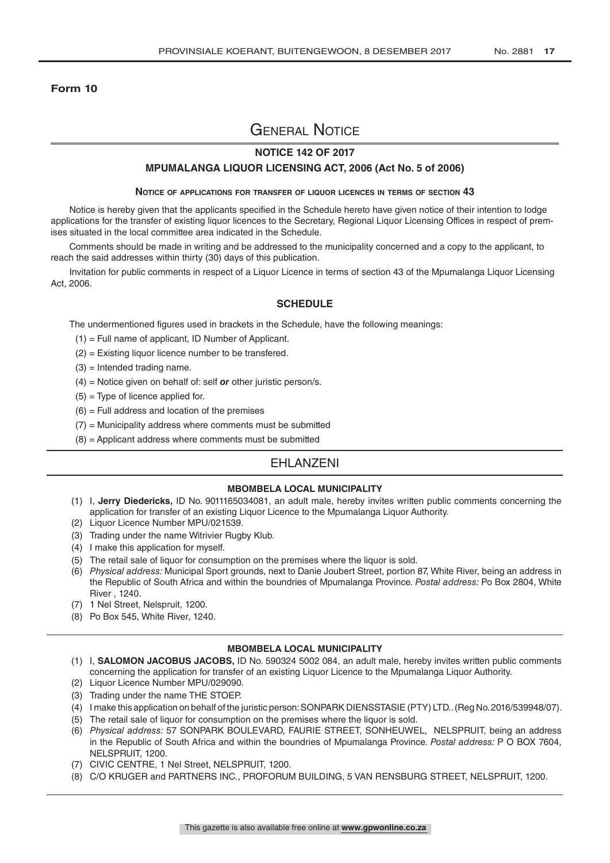# **Form 10**

# General Notice

# **NOTICE 142 OF 2017**

### **MPUMALANGA LIQUOR LICENSING ACT, 2006 (Act No. 5 of 2006)**

#### **Notice of applications for transfer of liquor licences in terms of section 43**

Notice is hereby given that the applicants specified in the Schedule hereto have given notice of their intention to lodge applications for the transfer of existing liquor licences to the Secretary, Regional Liquor Licensing Offices in respect of premises situated in the local committee area indicated in the Schedule.

Comments should be made in writing and be addressed to the municipality concerned and a copy to the applicant, to reach the said addresses within thirty (30) days of this publication.

Invitation for public comments in respect of a Liquor Licence in terms of section 43 of the Mpumalanga Liquor Licensing Act, 2006.

# **SCHEDULE**

The undermentioned figures used in brackets in the Schedule, have the following meanings:

- (1) = Full name of applicant, ID Number of Applicant.
- (2) = Existing liquor licence number to be transfered.
- $(3)$  = Intended trading name.
- (4) = Notice given on behalf of: self *or* other juristic person/s.
- $(5)$  = Type of licence applied for.
- $(6)$  = Full address and location of the premises
- $(7)$  = Municipality address where comments must be submitted
- $(8)$  = Applicant address where comments must be submitted

# EHLANZENI

#### **MBOMBELA LOCAL MUNICIPALITY**

- (1) I, **Jerry Diedericks,** ID No. 9011165034081, an adult male, hereby invites written public comments concerning the application for transfer of an existing Liquor Licence to the Mpumalanga Liquor Authority.
- (2) Liquor Licence Number MPU/021539.
- (3) Trading under the name Witrivier Rugby Klub.
- (4) I make this application for myself.
- (5) The retail sale of liquor for consumption on the premises where the liquor is sold.
- (6) *Physical address:* Municipal Sport grounds, next to Danie Joubert Street, portion 87, White River, being an address in the Republic of South Africa and within the boundries of Mpumalanga Province. *Postal address:* Po Box 2804, White River , 1240.
- (7) 1 Nel Street, Nelspruit, 1200.
- (8) Po Box 545, White River, 1240.

#### **MBOMBELA LOCAL MUNICIPALITY**

- (1) I, **SALOMON JACOBUS JACOBS,** ID No. 590324 5002 084, an adult male, hereby invites written public comments concerning the application for transfer of an existing Liquor Licence to the Mpumalanga Liquor Authority.
- (2) Liquor Licence Number MPU/029090.
- (3) Trading under the name THE STOEP.
- (4) I make this application on behalf of the juristic person: SONPARK DIENSSTASIE (PTY) LTD.. (Reg No. 2016/539948/07).
- (5) The retail sale of liquor for consumption on the premises where the liquor is sold.
- (6) *Physical address:* 57 SONPARK BOULEVARD, FAURIE STREET, SONHEUWEL, NELSPRUIT, being an address in the Republic of South Africa and within the boundries of Mpumalanga Province. *Postal address:* P O BOX 7604, NELSPRUIT, 1200.
- (7) CIVIC CENTRE, 1 Nel Street, NELSPRUIT, 1200.
- (8) C/O KRUGER and PARTNERS INC., PROFORUM BUILDING, 5 VAN RENSBURG STREET, NELSPRUIT, 1200.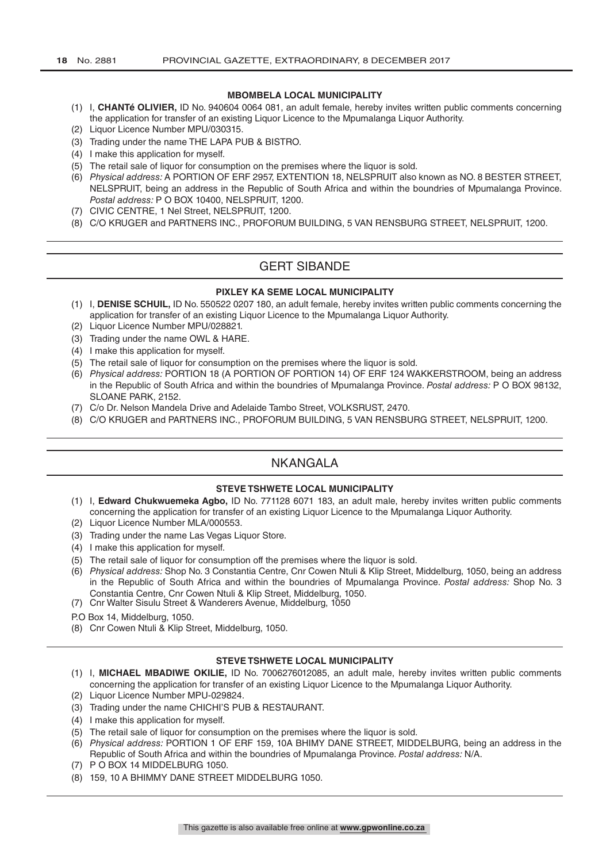#### **MBOMBELA LOCAL MUNICIPALITY**

- (1) I, **CHANTé OLIVIER,** ID No. 940604 0064 081, an adult female, hereby invites written public comments concerning the application for transfer of an existing Liquor Licence to the Mpumalanga Liquor Authority.
- (2) Liquor Licence Number MPU/030315.
- (3) Trading under the name THE LAPA PUB & BISTRO.
- (4) I make this application for myself.
- (5) The retail sale of liquor for consumption on the premises where the liquor is sold.
- (6) *Physical address:* A PORTION OF ERF 2957, EXTENTION 18, NELSPRUIT also known as NO. 8 BESTER STREET, NELSPRUIT, being an address in the Republic of South Africa and within the boundries of Mpumalanga Province. *Postal address:* P O BOX 10400, NELSPRUIT, 1200.
- (7) CIVIC CENTRE, 1 Nel Street, NELSPRUIT, 1200.
- (8) C/O KRUGER and PARTNERS INC., PROFORUM BUILDING, 5 VAN RENSBURG STREET, NELSPRUIT, 1200.

# GERT SIBANDE

#### **PIXLEY KA SEME LOCAL MUNICIPALITY**

- (1) I, **DENISE SCHUIL,** ID No. 550522 0207 180, an adult female, hereby invites written public comments concerning the application for transfer of an existing Liquor Licence to the Mpumalanga Liquor Authority.
- (2) Liquor Licence Number MPU/028821.
- (3) Trading under the name OWL & HARE.
- (4) I make this application for myself.
- (5) The retail sale of liquor for consumption on the premises where the liquor is sold.
- (6) *Physical address:* PORTION 18 (A PORTION OF PORTION 14) OF ERF 124 WAKKERSTROOM, being an address in the Republic of South Africa and within the boundries of Mpumalanga Province. *Postal address:* P O BOX 98132, SLOANE PARK, 2152.
- (7) C/o Dr. Nelson Mandela Drive and Adelaide Tambo Street, VOLKSRUST, 2470.
- (8) C/O KRUGER and PARTNERS INC., PROFORUM BUILDING, 5 VAN RENSBURG STREET, NELSPRUIT, 1200.

# NKANGALA

# **STEVE TSHWETE LOCAL MUNICIPALITY**

- (1) I, **Edward Chukwuemeka Agbo,** ID No. 771128 6071 183, an adult male, hereby invites written public comments concerning the application for transfer of an existing Liquor Licence to the Mpumalanga Liquor Authority.
- (2) Liquor Licence Number MLA/000553.
- (3) Trading under the name Las Vegas Liquor Store.
- (4) I make this application for myself.
- (5) The retail sale of liquor for consumption off the premises where the liquor is sold.
- (6) *Physical address:* Shop No. 3 Constantia Centre, Cnr Cowen Ntuli & Klip Street, Middelburg, 1050, being an address in the Republic of South Africa and within the boundries of Mpumalanga Province. *Postal address:* Shop No. 3 Constantia Centre, Cnr Cowen Ntuli & Klip Street, Middelburg, 1050.
- (7) Cnr Walter Sisulu Street & Wanderers Avenue, Middelburg, 1050
- P.O Box 14, Middelburg, 1050.
- (8) Cnr Cowen Ntuli & Klip Street, Middelburg, 1050.

#### **STEVE TSHWETE LOCAL MUNICIPALITY**

- (1) I, **MICHAEL MBADIWE OKILIE,** ID No. 7006276012085, an adult male, hereby invites written public comments concerning the application for transfer of an existing Liquor Licence to the Mpumalanga Liquor Authority.
- (2) Liquor Licence Number MPU-029824.
- (3) Trading under the name CHICHI'S PUB & RESTAURANT.
- (4) I make this application for myself.
- (5) The retail sale of liquor for consumption on the premises where the liquor is sold.
- (6) *Physical address:* PORTION 1 OF ERF 159, 10A BHIMY DANE STREET, MIDDELBURG, being an address in the Republic of South Africa and within the boundries of Mpumalanga Province. *Postal address:* N/A.
- (7) P O BOX 14 MIDDELBURG 1050.
- (8) 159, 10 A BHIMMY DANE STREET MIDDELBURG 1050.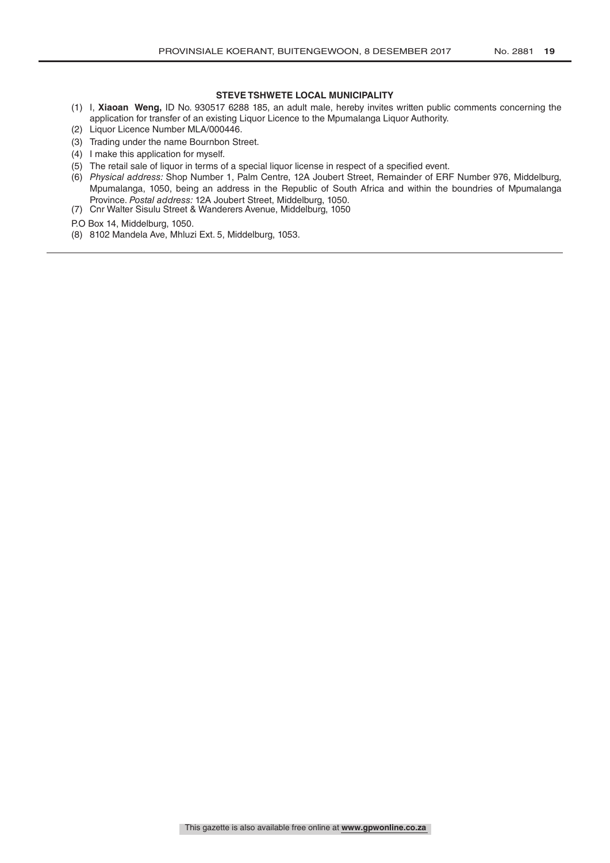#### **STEVE TSHWETE LOCAL MUNICIPALITY**

- (1) I, **Xiaoan Weng,** ID No. 930517 6288 185, an adult male, hereby invites written public comments concerning the application for transfer of an existing Liquor Licence to the Mpumalanga Liquor Authority.
- (2) Liquor Licence Number MLA/000446.
- (3) Trading under the name Bournbon Street.
- (4) I make this application for myself.
- (5) The retail sale of liquor in terms of a special liquor license in respect of a specified event.
- (6) *Physical address:* Shop Number 1, Palm Centre, 12A Joubert Street, Remainder of ERF Number 976, Middelburg, Mpumalanga, 1050, being an address in the Republic of South Africa and within the boundries of Mpumalanga Province. *Postal address:* 12A Joubert Street, Middelburg, 1050.
- (7) Cnr Walter Sisulu Street & Wanderers Avenue, Middelburg, 1050

P.O Box 14, Middelburg, 1050.

(8) 8102 Mandela Ave, Mhluzi Ext. 5, Middelburg, 1053.